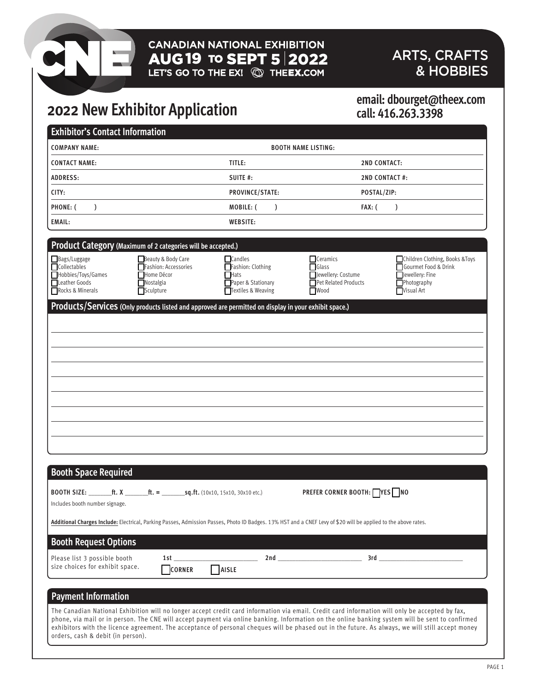# **CANADIAN NATIONAL EXHIBITION**  $\text{AUG}$  19 TO SEPT 5 2022

## ARTS, CRAFTS & HOBBIES

# **2022 New Exhibitor Application**

### **email: dbourget@theex.com call: 416.263.3398**

| <b>Exhibitor's Contact Information</b>                                                  |                                                                                                                                                                                                                                                                                                                                                                |                                                                                                                                                                                                                                                                                                                                                                                                                |
|-----------------------------------------------------------------------------------------|----------------------------------------------------------------------------------------------------------------------------------------------------------------------------------------------------------------------------------------------------------------------------------------------------------------------------------------------------------------|----------------------------------------------------------------------------------------------------------------------------------------------------------------------------------------------------------------------------------------------------------------------------------------------------------------------------------------------------------------------------------------------------------------|
| <b>COMPANY NAME:</b>                                                                    | <b>BOOTH NAME LISTING:</b>                                                                                                                                                                                                                                                                                                                                     |                                                                                                                                                                                                                                                                                                                                                                                                                |
| <b>CONTACT NAME:</b>                                                                    | TITLE:                                                                                                                                                                                                                                                                                                                                                         | <b>2ND CONTACT:</b>                                                                                                                                                                                                                                                                                                                                                                                            |
| <b>ADDRESS:</b>                                                                         | SUITE #:                                                                                                                                                                                                                                                                                                                                                       | <b>2ND CONTACT #:</b>                                                                                                                                                                                                                                                                                                                                                                                          |
| CITY:                                                                                   | PROVINCE/STATE:                                                                                                                                                                                                                                                                                                                                                | POSTAL/ZIP:                                                                                                                                                                                                                                                                                                                                                                                                    |
| PHONE: (<br>$\mathcal{E}$                                                               | MOBILE: (<br>$\mathcal{L}$                                                                                                                                                                                                                                                                                                                                     | FAX: (<br>$\mathcal{L}$                                                                                                                                                                                                                                                                                                                                                                                        |
| <b>EMAIL:</b>                                                                           | <b>WEBSITE:</b>                                                                                                                                                                                                                                                                                                                                                |                                                                                                                                                                                                                                                                                                                                                                                                                |
|                                                                                         |                                                                                                                                                                                                                                                                                                                                                                |                                                                                                                                                                                                                                                                                                                                                                                                                |
| Bags/Luggage<br>Collectables<br>Hobbies/Toys/Games<br>Leather Goods<br>Rocks & Minerals | Product Category (Maximum of 2 categories will be accepted.)<br>Beauty & Body Care<br><b>Candles</b><br>Fashion: Accessories<br>Fashion: Clothing<br>Home Décor<br><b>■Hats</b><br>Nostalgia<br>Paper & Stationary<br>Sculpture<br>Textiles & Weaving<br>Products/Services (Only products listed and approved are permitted on display in your exhibit space.) | Ceramics<br>Children Clothing, Books & Toys<br><b>Glass</b><br>Gourmet Food & Drink<br>Jewellery: Costume<br>$\Box$ ewellery: Fine<br>Pet Related Products<br>Photography<br><b>Nood</b><br><b>Nisual Art</b>                                                                                                                                                                                                  |
| <b>Booth Space Required</b>                                                             |                                                                                                                                                                                                                                                                                                                                                                |                                                                                                                                                                                                                                                                                                                                                                                                                |
| Includes booth number signage.<br><b>Booth Request Options</b>                          | Additional Charges Include: Electrical, Parking Passes, Admission Passes, Photo ID Badges. 13% HST and a CNEF Levy of \$20 will be applied to the above rates.                                                                                                                                                                                                 | PREFER CORNER BOOTH: YES NO                                                                                                                                                                                                                                                                                                                                                                                    |
| Please list 3 possible booth<br>size choices for exhibit space.                         | <u> 1989 - Jan Alexandro III, prima postala prima prima prima prima prima prima prima prima prima prima prima pri</u><br>$\Box$ AISLE<br>CORNER                                                                                                                                                                                                                | $3rd$ and $\overline{\phantom{a}}$ and $\overline{\phantom{a}}$ and $\overline{\phantom{a}}$ and $\overline{\phantom{a}}$ and $\overline{\phantom{a}}$ and $\overline{\phantom{a}}$ and $\overline{\phantom{a}}$ and $\overline{\phantom{a}}$ and $\overline{\phantom{a}}$ and $\overline{\phantom{a}}$ and $\overline{\phantom{a}}$ and $\overline{\phantom{a}}$ and $\overline{\phantom{a}}$ and $\overline$ |
| <b>Payment Information</b><br>orders, cash & debit (in person).                         | The Canadian National Exhibition will no longer accept credit card information via email. Credit card information will only be accepted by fax,                                                                                                                                                                                                                | phone, via mail or in person. The CNE will accept payment via online banking. Information on the online banking system will be sent to confirmed<br>exhibitors with the licence agreement. The acceptance of personal cheques will be phased out in the future. As always, we will still accept money                                                                                                          |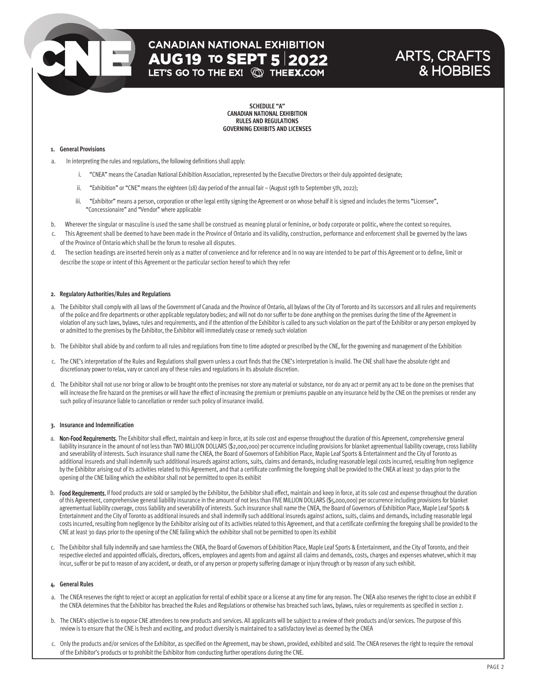## **CANADIAN NATIONAL EXHIBITION AUG 19 TO SEPT 5 2022**<br>LET'S GO TO THE EX! **@ THEEX.COM**

## ARTS, CRAFTS & HOBBIES

**SCHEDULE "A" CANADIAN NATIONAL EXHIBITION RULES AND REGULATIONS GOVERNING EXHIBITS AND LICENSES**

#### **1. General Provisions**

- a. In interpreting the rules and regulations, the following definitions shall apply:
	- i. "CNEA" means the Canadian National Exhibition Association, represented by the Executive Directors or their duly appointed designate;
	- ii. "Exhibition" or "CNE" means the eighteen (18) day period of the annual fair (August 19th to September 5th, 2022);
	- iii. "Exhibitor" means a person, corporation or other legal entity signing the Agreement or on whose behalf it is signed and includes the terms "Licensee", "Concessionaire" and "Vendor" where applicable
- b. Wherever the singular or masculine is used the same shall be construed as meaning plural or feminine, or body corporate or politic, where the context so requires.
- This Agreement shall be deemed to have been made in the Province of Ontario and its validity, construction, performance and enforcement shall be governed by the laws of the Province of Ontario which shall be the forum to resolve all disputes.
- d. The section headings are inserted herein only as a matter of convenience and for reference and in no way are intended to be part of this Agreement or to define, limit or describe the scope or intent of this Agreement or the particular section hereof to which they refer

#### **2. Regulatory Authorities/Rules and Regulations**

- a. The Exhibitor shall comply with all laws of the Government of Canada and the Province of Ontario, all bylaws of the City of Toronto and its successors and all rules and requirements of the police and fire departments or other applicable regulatory bodies; and will not do nor suffer to be done anything on the premises during the time of the Agreement in violation of any such laws, bylaws, rules and requirements, and if the attention of the Exhibitor is called to any such violation on the part of the Exhibitor or any person employed by or admitted to the premises by the Exhibitor, the Exhibitor will immediately cease or remedy such violation
- b. The Exhibitor shall abide by and conform to all rules and regulations from time to time adopted or prescribed by the CNE, for the governing and management of the Exhibition
- c. The CNE's interpretation of the Rules and Regulations shall govern unless a court finds that the CNE's interpretation is invalid. The CNE shall have the absolute right and discretionary power to relax, vary or cancel any of these rules and regulations in its absolute discretion.
- d. The Exhibitor shall not use nor bring or allow to be brought onto the premises nor store any material or substance, nor do any act or permit any act to be done on the premises that will increase the fire hazard on the premises or will have the effect of increasing the premium or premiums payable on any insurance held by the CNE on the premises or render any such policy of insurance liable to cancellation or render such policy of insurance invalid.

#### **3. Insurance and Indemnification**

- a. Non-Food Requirements. The Exhibitor shall effect, maintain and keep in force, at its sole cost and expense throughout the duration of this Agreement, comprehensive general liability insurance in the amount of not less than TWO MILLION DOLLARS (\$2,000,000) per occurrence including provisions for blanket agreementual liability coverage, cross liability and severability of interests. Such insurance shall name the CNEA, the Board of Governors of Exhibition Place, Maple Leaf Sports & Entertainment and the City of Toronto as additional insureds and shall indemnify such additional insureds against actions, suits, claims and demands, including reasonable legal costs incurred, resulting from negligence by the Exhibitor arising out of its activities related to this Agreement, and that a certificate confirming the foregoing shall be provided to the CNEA at least 30 days prior to the opening of the CNE failing which the exhibitor shall not be permitted to open its exhibit
- b. Food Requirements. If food products are sold or sampled by the Exhibitor, the Exhibitor shall effect, maintain and keep in force, at its sole cost and expense throughout the duration of this Agreement, comprehensive general liability insurance in the amount of not less than FIVE MILLION DOLLARS (\$5,000,000) per occurrence including provisions for blanket agreementual liability coverage, cross liability and severability of interests. Such insurance shall name the CNEA, the Board of Governors of Exhibition Place, Maple Leaf Sports & Entertainment and the City of Toronto as additional insureds and shall indemnify such additional insureds against actions, suits, claims and demands, including reasonable legal costs incurred, resulting from negligence by the Exhibitor arising out of its activities related to this Agreement, and that a certificate confirming the foregoing shall be provided to the CNE at least 30 days prior to the opening of the CNE failing which the exhibitor shall not be permitted to open its exhibit
- c. The Exhibitor shall fully indemnify and save harmless the CNEA, the Board of Governors of Exhibition Place, Maple Leaf Sports & Entertainment, and the City of Toronto, and their respective elected and appointed officials, directors, officers, employees and agents from and against all claims and demands, costs, charges and expenses whatever, which it may incur, suffer or be put to reason of any accident, or death, or of any person or property suffering damage or injury through or by reason of any such exhibit.

#### **4. General Rules**

- a. The CNEA reserves the right to reject or accept an application for rental of exhibit space or a license at any time for any reason. The CNEA also reserves the right to close an exhibit if the CNEA determines that the Exhibitor has breached the Rules and Regulations or otherwise has breached such laws, bylaws, rules or requirements as specified in section 2.
- b. The CNEA's objective is to expose CNE attendees to new products and services. All applicants will be subject to a review of their products and/or services. The purpose of this review is to ensure that the CNE is fresh and exciting, and product diversity is maintained to a satisfactory level as deemed by the CNEA
- c. Only the products and/or services of the Exhibitor, as specified on the Agreement, may be shown, provided, exhibited and sold. The CNEA reserves the right to require the removal of the Exhibitor's products or to prohibit the Exhibitor from conducting further operations during the CNE.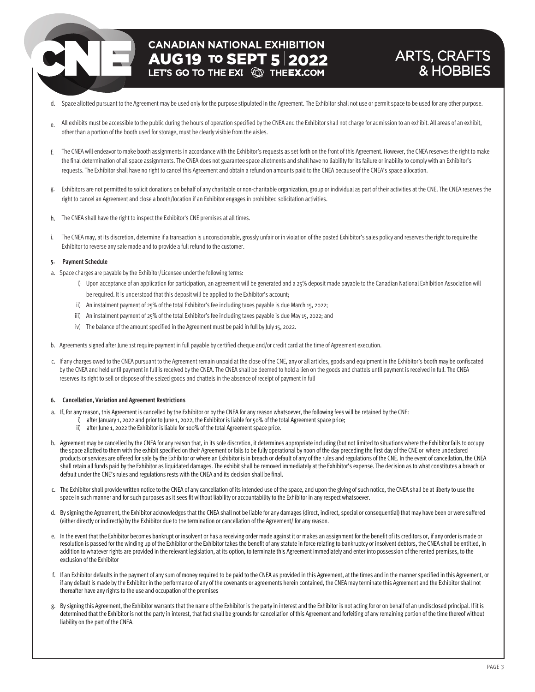## **CANADIAN NATIONAL EXHIBITION AUG 19 TO SEPT 5 2022**

### ARTS, CRAFTS & HOBBIES

- d. Space allotted pursuant to the Agreement may be used only for the purpose stipulated in the Agreement. The Exhibitor shall not use or permit space to be used for any other purpose.
- e. All exhibits must be accessible to the public during the hours of operation specified by the CNEA and the Exhibitor shall not charge for admission to an exhibit. All areas of an exhibit, other than a portion of the booth used for storage, must be clearly visible from the aisles.
- f. The CNEA will endeavor to make booth assignments in accordance with the Exhibitor's requests as set forth on the front of this Agreement. However, the CNEA reserves the right to make the final determination of all space assignments. The CNEA does not guarantee space allotments and shall have no liability for its failure or inability to comply with an Exhibitor's requests. The Exhibitor shall have no right to cancel this Agreement and obtain a refund on amounts paid to the CNEA because of the CNEA's space allocation.
- g. Exhibitors are not permitted to solicit donations on behalf of any charitable or non-charitable organization, group or individual as part of their activities at the CNE. The CNEA reserves the right to cancel an Agreement and close a booth/location if an Exhibitor engages in prohibited solicitation activities.
- h. The CNEA shall have the right to inspect the Exhibitor's CNE premises at all times.
- i. The CNEA may, at its discretion, determine if a transaction is unconscionable, grossly unfair or in violation of the posted Exhibitor's sales policy and reserves the right to require the Exhibitor to reverse any sale made and to provide a full refund to the customer.

#### **5. Payment Schedule**

- a. Space charges are payable by the Exhibitor/Licensee underthe following terms:
	- i) Upon acceptance of an application for participation, an agreement will be generated and a 25% deposit made payable to the Canadian National Exhibition Association will be required. It is understood that this deposit will be applied to the Exhibitor's account;
	- ii) An instalment payment of 25% of the total Exhibitor's fee including taxes payable is due March 15, 2022;
	- iii) An instalment payment of 25% of the total Exhibitor's fee including taxes payable is due May 15, 2022; and
	- iv) The balance of the amount specified in the Agreement must be paid in full by July 15, 2022.
- b. Agreements signed after June 1st require payment in full payable by certified cheque and/or credit card at the time of Agreement execution.
- c. If any charges owed to the CNEA pursuant to the Agreement remain unpaid at the close of the CNE, any or all articles, goods and equipment in the Exhibitor's booth may be confiscated by the CNEA and held until payment in full is received by the CNEA. The CNEA shall be deemed to hold a lien on the goods and chattels until payment is received in full. The CNEA reserves its right to sell or dispose of the seized goods and chattels in the absence of receipt of payment in full

#### **6. Cancellation, Variation and Agreement Restrictions**

- a. If, for any reason, this Agreement is cancelled by the Exhibitor or by the CNEA for any reason whatsoever, the following fees will be retained by the CNE:
	- i) after January 1, 2022 and prior to June 1, 2022, the Exhibitor is liable for 50% of the total Agreement space price;
		- ii) after June 1, 2022 the Exhibitor is liable for 100% of the total Agreement space price.
- b. Agreement may be cancelled by the CNEA for any reason that, in its sole discretion, it determines appropriate including (but not limited to situations where the Exhibitor fails to occupy the space allotted to them with the exhibit specified on their Agreement or fails to be fully operational by noon of the day preceding the first day of the CNE or where undeclared products or services are offered for sale by the Exhibitor or where an Exhibitor is in breach or default of any of the rules and regulations of the CNE. In the event of cancellation, the CNEA shall retain all funds paid by the Exhibitor as liquidated damages. The exhibit shall be removed immediately at the Exhibitor's expense. The decision as to what constitutes a breach or default under the CNE's rules and regulations rests with the CNEA and its decision shall be final.
- c. The Exhibitor shall provide written notice to the CNEA of any cancellation of its intended use of the space, and upon the giving of such notice, the CNEA shall be at liberty to use the space in such manner and for such purposes as it sees fit without liability or accountability to the Exhibitor in any respect whatsoever.
- d. By signing the Agreement, the Exhibitor acknowledges that the CNEA shall not be liable for any damages (direct, indirect, special or consequential) that may have been or were suffered (either directly or indirectly) by the Exhibitor due to the termination or cancellation of the Agreement/ for any reason.
- e. In the event that the Exhibitor becomes bankrupt or insolvent or has a receiving order made against it or makes an assignment for the benefit of its creditors or, if any order is made or resolution is passed for the winding up of the Exhibitor or the Exhibitor takes the benefit of any statute in force relating to bankruptcy or insolvent debtors, the CNEA shall be entitled, in addition to whatever rights are provided in the relevant legislation, at its option, to terminate this Agreement immediately and enter into possession of the rented premises, to the exclusion of the Exhibitor
- f. If an Exhibitor defaults in the payment of any sum of money required to be paid to the CNEA as provided in this Agreement, at the times and in the manner specified in this Agreement, or if any default is made by the Exhibitor in the performance of any of the covenants or agreements herein contained, the CNEA may terminate this Agreement and the Exhibitor shall not thereafter have any rights to the use and occupation of the premises
- g. By signing this Agreement, the Exhibitor warrants that the name of the Exhibitor is the party in interest and the Exhibitor is not acting for or on behalf of an undisclosed principal. If it is determined that the Exhibitor is not the party in interest, that fact shall be grounds for cancellation of this Agreement and forfeiting of any remaining portion of the time thereof without liability on the part of the CNEA.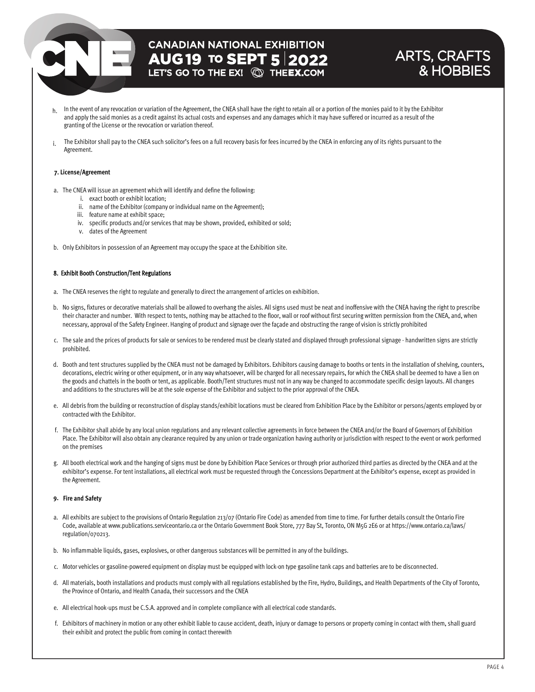## **CANADIAN NATIONAL EXHIBITION AUG 19 TO SEPT 5 2022**<br>LET'S GO TO THE EX! **QD THEEX.COM**

### ARTS, CRAFTS & HOBBIES

- h. In the event of any revocation or variation of the Agreement, the CNEA shall have the right to retain all or a portion of the monies paid to it by the Exhibitor and apply the said monies as a credit against its actual costs and expenses and any damages which it may have suffered or incurred as a result of the granting of the License or the revocation or variation thereof.
- i. The Exhibitor shall pay to the CNEA such solicitor's fees on a full recovery basis for fees incurred by the CNEA in enforcing any of its rights pursuant to the Agreement.

#### **7. License/Agreement**

- a. The CNEA will issue an agreement which will identify and define the following:
	- i. exact booth or exhibit location;
	- ii. name of the Exhibitor (company or individual name on the Agreement);
	- iii. feature name at exhibit space;
	- iv. specific products and/or services that may be shown, provided, exhibited or sold;
	- v. dates of the Agreement
- b. Only Exhibitors in possession of an Agreement may occupy the space at the Exhibition site.

#### 8. Exhibit Booth Construction/Tent Regulations

- a. The CNEA reserves the right to regulate and generally to direct the arrangement of articles on exhibition.
- b. No signs, fixtures or decorative materials shall be allowed to overhang the aisles. All signs used must be neat and inoffensive with the CNEA having the right to prescribe their character and number. With respect to tents, nothing may be attached to the floor, wall or roof without first securing written permission from the CNEA, and, when necessary, approval of the Safety Engineer. Hanging of product and signage over the façade and obstructing the range of vision is strictly prohibited
- c. The sale and the prices of products for sale or services to be rendered must be clearly stated and displayed through professional signage handwritten signs are strictly prohibited.
- d. Booth and tent structures supplied by the CNEA must not be damaged by Exhibitors. Exhibitors causing damage to booths or tents in the installation of shelving, counters, decorations, electric wiring or other equipment, or in any way whatsoever, will be charged for all necessary repairs, for which the CNEA shall be deemed to have a lien on the goods and chattels in the booth or tent, as applicable. Booth/Tent structures must not in any way be changed to accommodate specific design layouts. All changes and additions to the structures will be at the sole expense of the Exhibitor and subject to the prior approval of the CNEA.
- e. All debris from the building or reconstruction of display stands/exhibit locations must be cleared from Exhibition Place by the Exhibitor or persons/agents employed by or contracted with the Exhibitor.
- f. The Exhibitor shall abide by any local union regulations and any relevant collective agreements in force between the CNEA and/or the Board of Governors of Exhibition Place. The Exhibitor will also obtain any clearance required by any union or trade organization having authority or jurisdiction with respect to the event or work performed on the premises
- g. All booth electrical work and the hanging of signs must be done by Exhibition Place Services or through prior authorized third parties as directed by the CNEA and at the exhibitor's expense. For tent installations, all electrical work must be requested through the Concessions Department at the Exhibitor's expense, except as provided in the Agreement.

#### **9. Fire and Safety**

- a. All exhibits are subject to the provisions of Ontario Regulation 213/07 (Ontario Fire Code) as amended from time to time. For further details consult the Ontario Fire Code, available at www.publications.serviceontario.ca or the Ontario Government Book Store, 777 Bay St, Toronto, ON M5G 2E6 or at https://www.ontario.ca/laws/ regulation/070213.
- b. No inflammable liquids, gases, explosives, or other dangerous substances will be permitted in any of the buildings.
- c. Motor vehicles or gasoline-powered equipment on display must be equipped with lock-on type gasoline tank caps and batteries are to be disconnected.
- d. All materials, booth installations and products must comply with all regulations established by the Fire, Hydro, Buildings, and Health Departments of the City of Toronto, the Province of Ontario, and Health Canada, their successors and the CNEA
- e. All electrical hook-ups must be C.S.A. approved and in complete compliance with all electrical code standards.
- f. Exhibitors of machinery in motion or any other exhibit liable to cause accident, death, injury or damage to persons or property coming in contact with them, shall guard their exhibit and protect the public from coming in contact therewith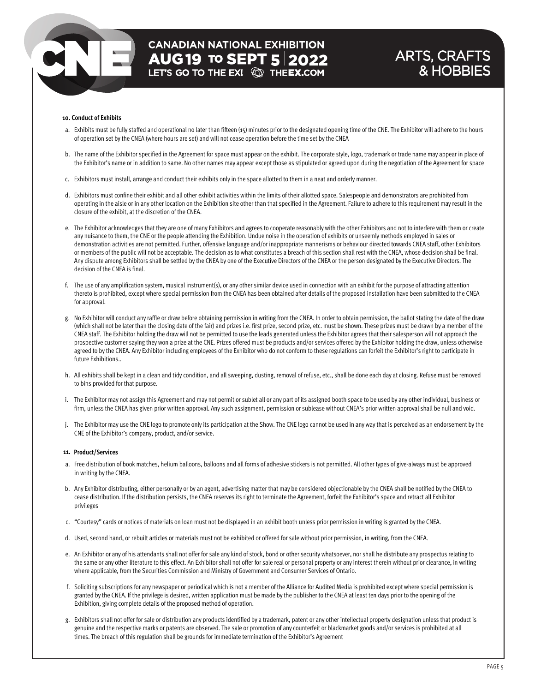## **CANADIAN NATIONAL EXHIBITION AUG 19 TO SEPT 5 2022**<br>LET'S GO TO THE EX! **QD THEEX.COM**

### ARTS, CRAFTS & HOBBIES

#### **10. Conduct of Exhibits**

- a. Exhibits must be fully staffed and operational no later than fifteen (15) minutes prior to the designated opening time of the CNE. The Exhibitor will adhere to the hours of operation set by the CNEA (where hours are set) and will not cease operation before the time set by the CNEA
- b. The name of the Exhibitor specified in the Agreement for space must appear on the exhibit. The corporate style, logo, trademark or trade name may appear in place of the Exhibitor's name or in addition to same. No other names may appear except those as stipulated or agreed upon during the negotiation of the Agreement for space
- c. Exhibitors must install, arrange and conduct their exhibits only in the space allotted to them in a neat and orderly manner.
- d. Exhibitors must confine their exhibit and all other exhibit activities within the limits of their allotted space. Salespeople and demonstrators are prohibited from operating in the aisle or in any other location on the Exhibition site other than that specified in the Agreement. Failure to adhere to this requirement may result in the closure of the exhibit, at the discretion of the CNEA.
- e. The Exhibitor acknowledges that they are one of many Exhibitors and agrees to cooperate reasonably with the other Exhibitors and not to interfere with them or create any nuisance to them, the CNE or the people attending the Exhibition. Undue noise in the operation of exhibits or unseemly methods employed in sales or demonstration activities are not permitted. Further, offensive language and/or inappropriate mannerisms or behaviour directed towards CNEA staff, other Exhibitors or members of the public will not be acceptable. The decision as to what constitutes a breach of this section shall rest with the CNEA, whose decision shall be final. Any dispute among Exhibitors shall be settled by the CNEA by one of the Executive Directors of the CNEA or the person designated by the Executive Directors. The decision of the CNEA is final.
- f. The use of any amplification system, musical instrument(s), or any other similar device used in connection with an exhibit for the purpose of attracting attention thereto is prohibited, except where special permission from the CNEA has been obtained after details of the proposed installation have been submitted to the CNEA for approval.
- g. No Exhibitor will conduct any raffle or draw before obtaining permission in writing from the CNEA. In order to obtain permission, the ballot stating the date of the draw (which shall not be later than the closing date of the fair) and prizes i.e. first prize, second prize, etc. must be shown. These prizes must be drawn by a member of the CNEA staff. The Exhibitor holding the draw will not be permitted to use the leads generated unless the Exhibitor agrees that their salesperson will not approach the prospective customer saying they won a prize at the CNE. Prizes offered must be products and/or services offered by the Exhibitor holding the draw, unless otherwise agreed to by the CNEA. Any Exhibitor including employees of the Exhibitor who do not conform to these regulations can forfeit the Exhibitor's right to participate in future Exhibitions..
- h. All exhibits shall be kept in a clean and tidy condition, and all sweeping, dusting, removal of refuse, etc., shall be done each day at closing. Refuse must be removed to bins provided for that purpose.
- i. The Exhibitor may not assign this Agreement and may not permit or sublet all or any part of its assigned booth space to be used by any other individual, business or firm, unless the CNEA has given prior written approval. Any such assignment, permission or sublease without CNEA's prior written approval shall be null and void.
- j. The Exhibitor may use the CNE logo to promote only its participation at the Show. The CNE logo cannot be used in any way that is perceived as an endorsement by the CNE of the Exhibitor's company, product, and/or service.

#### **11. Product/Services**

- a. Free distribution of book matches, helium balloons, balloons and all forms of adhesive stickers is not permitted. All other types of give-always must be approved in writing by the CNEA.
- b. Any Exhibitor distributing, either personally or by an agent, advertising matter that may be considered objectionable by the CNEA shall be notified by the CNEA to cease distribution. If the distribution persists, the CNEA reserves its right to terminate the Agreement, forfeit the Exhibitor's space and retract all Exhibitor privileges
- c. "Courtesy" cards or notices of materials on loan must not be displayed in an exhibit booth unless prior permission in writing is granted by the CNEA.
- d. Used, second hand, or rebuilt articles or materials must not be exhibited or offered for sale without prior permission, in writing, from the CNEA.
- e. An Exhibitor or any of his attendants shall not offer for sale any kind of stock, bond or other security whatsoever, nor shall he distribute any prospectus relating to the same or any other literature to this effect. An Exhibitor shall not offer for sale real or personal property or any interest therein without prior clearance, in writing where applicable, from the Securities Commission and Ministry of Government and Consumer Services of Ontario.
- f. Soliciting subscriptions for any newspaper or periodical which is not a member of the Alliance for Audited Media is prohibited except where special permission is granted by the CNEA. If the privilege is desired, written application must be made by the publisher to the CNEA at least ten days prior to the opening of the Exhibition, giving complete details of the proposed method of operation.
- g. Exhibitors shall not offer for sale or distribution any products identified by a trademark, patent or any other intellectual property designation unless that product is genuine and the respective marks or patents are observed. The sale or promotion of any counterfeit or blackmarket goods and/or services is prohibited at all times. The breach of this regulation shall be grounds for immediate termination of the Exhibitor's Agreement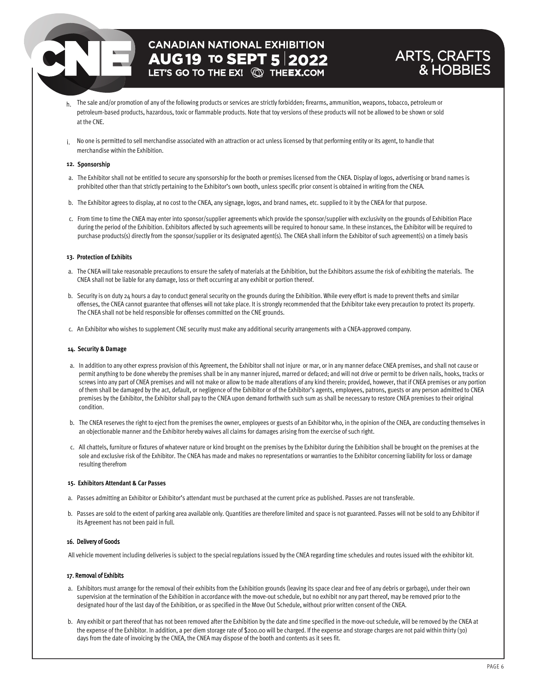## **CANADIAN NATIONAL EXHIBITION AUG 19 TO SEPT 5 2022**

### ARTS, CRAFTS & HOBBIE

- h. The sale and/or promotion of any of the following products or services are strictly forbidden; firearms, ammunition, weapons, tobacco, petroleum or petroleum-based products, hazardous, toxic or flammable products. Note that toy versions of these products will not be allowed to be shown or sold at the CNE.
- i. No one is permitted to sell merchandise associated with an attraction or act unless licensed by that performing entity or its agent, to handle that merchandise within the Exhibition.

#### **12. Sponsorship**

- a. The Exhibitor shall not be entitled to secure any sponsorship for the booth or premises licensed from the CNEA. Display of logos, advertising or brand names is prohibited other than that strictly pertaining to the Exhibitor's own booth, unless specific prior consent is obtained in writing from the CNEA.
- b. The Exhibitor agrees to display, at no cost to the CNEA, any signage, logos, and brand names, etc. supplied to it by the CNEA for that purpose.
- c. From time to time the CNEA may enter into sponsor/supplier agreements which provide the sponsor/supplier with exclusivity on the grounds of Exhibition Place during the period of the Exhibition. Exhibitors affected by such agreements will be required to honour same. In these instances, the Exhibitor will be required to purchase products(s) directly from the sponsor/supplier or its designated agent(s). The CNEA shall inform the Exhibitor of such agreement(s) on a timely basis

#### **13. Protection of Exhibits**

- a. The CNEA will take reasonable precautions to ensure the safety of materials at the Exhibition, but the Exhibitors assume the risk of exhibiting the materials. The CNEA shall not be liable for any damage, loss or theft occurring at any exhibit or portion thereof.
- b. Security is on duty 24 hours a day to conduct general security on the grounds during the Exhibition. While every effort is made to prevent thefts and similar offenses, the CNEA cannot guarantee that offenses will not take place. It is strongly recommended that the Exhibitor take every precaution to protect its property. The CNEA shall not be held responsible for offenses committed on the CNE grounds.
- c. An Exhibitor who wishes to supplement CNE security must make any additional security arrangements with a CNEA-approved company.

#### **14. Security & Damage**

- a. In addition to any other express provision of this Agreement, the Exhibitor shall not injure or mar, or in any manner deface CNEA premises, and shall not cause or permit anything to be done whereby the premises shall be in any manner injured, marred or defaced; and will not drive or permit to be driven nails, hooks, tracks or screws into any part of CNEA premises and will not make or allow to be made alterations of any kind therein; provided, however, that if CNEA premises or any portion of them shall be damaged by the act, default, or negligence of the Exhibitor or of the Exhibitor's agents, employees, patrons, guests or any person admitted to CNEA premises by the Exhibitor, the Exhibitor shall pay to the CNEA upon demand forthwith such sum as shall be necessary to restore CNEA premises to their original condition.
- b. The CNEA reserves the right to eject from the premises the owner, employees or guests of an Exhibitor who, in the opinion of the CNEA, are conducting themselves in an objectionable manner and the Exhibitor hereby waives all claims for damages arising from the exercise of such right.
- c. All chattels, furniture or fixtures of whatever nature or kind brought on the premises by the Exhibitor during the Exhibition shall be brought on the premises at the sole and exclusive risk of the Exhibitor. The CNEA has made and makes no representations or warranties to the Exhibitor concerning liability for loss or damage resulting therefrom

#### **15. Exhibitors Attendant & Car Passes**

- a. Passes admitting an Exhibitor or Exhibitor's attendant must be purchased at the current price as published. Passes are not transferable.
- b. Passes are sold to the extent of parking area available only. Quantities are therefore limited and space is not guaranteed. Passes will not be sold to any Exhibitor if its Agreement has not been paid in full.

#### 16. Delivery of Goods

All vehicle movement including deliveries is subject to the special regulations issued by the CNEA regarding time schedules and routes issued with the exhibitor kit.

#### 17. Removal of Exhibits

- a. Exhibitors must arrange for the removal of their exhibits from the Exhibition grounds (leaving its space clear and free of any debris or garbage), under their own supervision at the termination of the Exhibition in accordance with the move-out schedule, but no exhibit nor any part thereof, may be removed prior to the designated hour of the last day of the Exhibition, or as specified in the Move Out Schedule, without prior written consent of the CNEA.
- b. Any exhibit or part thereof that has not been removed after the Exhibition by the date and time specified in the move-out schedule, will be removed by the CNEA at the expense of the Exhibitor. In addition, a per diem storage rate of \$200.00 will be charged. If the expense and storage charges are not paid within thirty (30) days from the date of invoicing by the CNEA, the CNEA may dispose of the booth and contents as it sees fit.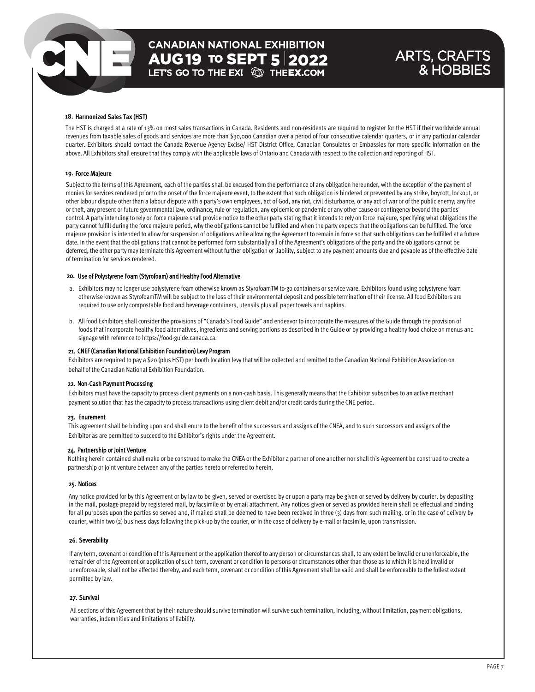## **CANADIAN NATIONAL EXHIBITION AUG 19 TO SEPT 5 2022**<br>LET'S GO TO THE EX! **@ THEEX.COM**

### ARTS, CRAFTS & HOBBIES

#### **18. Harmonized Sales Tax (HST)**

The HST is charged at a rate of 13% on most sales transactions in Canada. Residents and non-residents are required to register for the HST if their worldwide annual revenues from taxable sales of goods and services are more than \$30,000 Canadian over a period of four consecutive calendar quarters, or in any particular calendar quarter. Exhibitors should contact the Canada Revenue Agency Excise/ HST District Office, Canadian Consulates or Embassies for more specific information on the above. All Exhibitors shall ensure that they comply with the applicable laws of Ontario and Canada with respect to the collection and reporting of HST.

#### **19. Force Majeure**

Subject to the terms of this Agreement, each of the parties shall be excused from the performance of any obligation hereunder, with the exception of the payment of monies for services rendered prior to the onset of the force majeure event, to the extent that such obligation is hindered or prevented by any strike, boycott, lockout, or other labour dispute other than a labour dispute with a party's own employees, act of God, any riot, civil disturbance, or any act of war or of the public enemy; any fire or theft, any present or future governmental law, ordinance, rule or regulation, any epidemic or pandemic or any other cause or contingency beyond the parties' control. A party intending to rely on force majeure shall provide notice to the other party stating that it intends to rely on force majeure, specifying what obligations the party cannot fulfill during the force majeure period, why the obligations cannot be fulfilled and when the party expects that the obligations can be fulfilled. The force majeure provision is intended to allow for suspension of obligations while allowing the Agreement to remain in force so that such obligations can be fulfilled at a future date. In the event that the obligations that cannot be performed form substantially all of the Agreement's obligations of the party and the obligations cannot be deferred, the other party may terminate this Agreement without further obligation or liability, subject to any payment amounts due and payable as of the effective date of termination for services rendered.

#### 20. Use of Polystyrene Foam (Styrofoam) and Healthy Food Alternative

- a. Exhibitors may no longer use polystyrene foam otherwise known as StyrofoamTM to-go containers or service ware. Exhibitors found using polystyrene foam otherwise known as StyrofoamTM will be subject to the loss of their environmental deposit and possible termination of their license. All food Exhibitors are required to use only compostable food and beverage containers, utensils plus all paper towels and napkins.
- b. All food Exhibitors shall consider the provisions of "Canada's Food Guide" and endeavor to incorporate the measures of the Guide through the provision of foods that incorporate healthy food alternatives, ingredients and serving portions as described in the Guide or by providing a healthy food choice on menus and signage with reference to https://food-guide.canada.ca.

#### 21. CNEF (Canadian National Exhibition Foundation) Levy Program

Exhibitors are required to pay a \$20 (plus HST) per booth location levy that will be collected and remitted to the Canadian National Exhibition Association on behalf of the Canadian National Exhibition Foundation.

#### 22. Non-Cash Payment Processing

Exhibitors must have the capacity to process client payments on a non-cash basis. This generally means that the Exhibitor subscribes to an active merchant payment solution that has the capacity to process transactions using client debit and/or credit cards during the CNE period.

#### 23. Enurement

This agreement shall be binding upon and shall enure to the benefit of the successors and assigns of the CNEA, and to such successors and assigns of the Exhibitor as are permitted to succeed to the Exhibitor's rights under the Agreement.

#### 24. Partnership or Joint Venture

Nothing herein contained shall make or be construed to make the CNEA or the Exhibitor a partner of one another nor shall this Agreement be construed to create a partnership or joint venture between any of the parties hereto or referred to herein.

#### 25. Notices

Any notice provided for by this Agreement or by law to be given, served or exercised by or upon a party may be given or served by delivery by courier, by depositing in the mail, postage prepaid by registered mail, by facsimile or by email attachment. Any notices given or served as provided herein shall be effectual and binding for all purposes upon the parties so served and, if mailed shall be deemed to have been received in three (3) days from such mailing, or in the case of delivery by courier, within two (2) business days following the pick-up by the courier, or in the case of delivery by e-mail or facsimile, upon transmission.

#### 26. Severability

If any term, covenant or condition of this Agreement or the application thereof to any person or circumstances shall, to any extent be invalid or unenforceable, the remainder of the Agreement or application of such term, covenant or condition to persons or circumstances other than those as to which it is held invalid or unenforceable, shall not be affected thereby, and each term, covenant or condition of this Agreement shall be valid and shall be enforceable to the fullest extent permitted by law.

#### 27. Survival

All sections of this Agreement that by their nature should survive termination will survive such termination, including, without limitation, payment obligations, warranties, indemnities and limitations of liability.